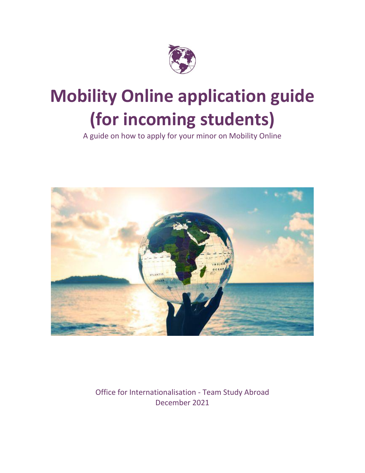

# **Mobility Online application guide (for incoming students)**

A guide on how to apply for your minor on Mobility Online



Office for Internationalisation - Team Study Abroad December 2021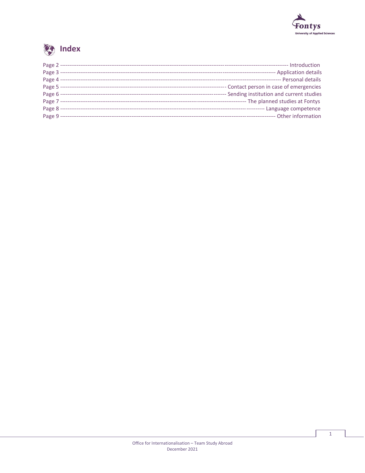



|              | ----- Personal details                      |
|--------------|---------------------------------------------|
|              | --- Contact person in case of emergencies   |
|              | --- Sending institution and current studies |
|              |                                             |
| Page 8 ----- |                                             |
|              |                                             |

 $\mathbf 1$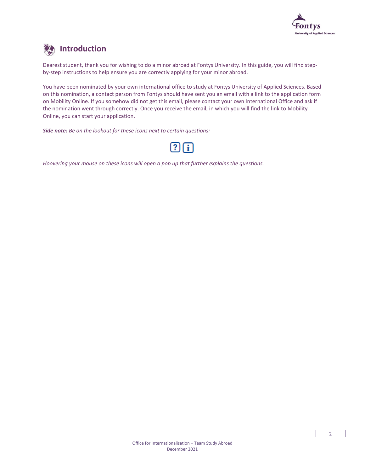

## **External Introduction**

Dearest student, thank you for wishing to do a minor abroad at Fontys University. In this guide, you will find stepby-step instructions to help ensure you are correctly applying for your minor abroad.

You have been nominated by your own international office to study at Fontys University of Applied Sciences. Based on this nomination, a contact person from Fontys should have sent you an email with a link to the application form on Mobility Online. If you somehow did not get this email, please contact your own International Office and ask if the nomination went through correctly. Once you receive the email, in which you will find the link to Mobility Online, you can start your application.

*Side note: Be on the lookout for these icons next to certain questions:* 



*Hoovering your mouse on these icons will open a pop up that further explains the questions.*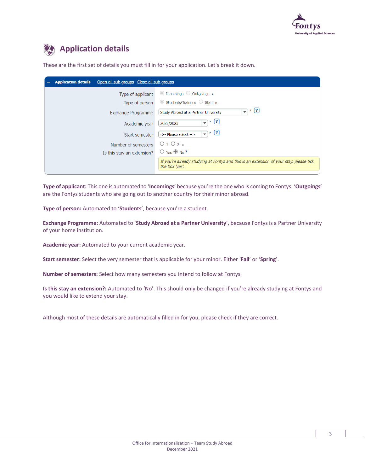

### **Application details**

These are the first set of details you must fill in for your application. Let's break it down.

| Open all sub groups Close all sub groups<br><b>Application details</b> |                                                                                                           |
|------------------------------------------------------------------------|-----------------------------------------------------------------------------------------------------------|
| Type of applicant                                                      | $\circ$ Incomings $\circ$ Outgoings $*$                                                                   |
| Type of person                                                         | $\circ$ Students/Trainees $\circ$ Staff $*$                                                               |
| Exchange Programme                                                     | $- * 2$<br>Study Abroad at a Partner University                                                           |
| Academic year                                                          | $\overline{\phantom{a}}$ * $\overline{\phantom{a}}$ 3<br>2022/2023                                        |
| Start semester                                                         | ි∗ (ව<br>$\overline{\phantom{a}}$<br><-- Please select -->                                                |
| Number of semesters                                                    | $0102*$                                                                                                   |
| Is this stay an extension?                                             | $\bigcirc$ Yes $\bigcirc$ No <sup>*</sup>                                                                 |
|                                                                        | If you're already studying at Fontys and this is an extension of your stay, please tick<br>the box 'yes'. |
|                                                                        |                                                                                                           |

**Type of applicant:** This one is automated to '**Incomings**' because you're the one who is coming to Fontys. '**Outgoings**' are the Fontys students who are going out to another country for their minor abroad.

**Type of person:** Automated to '**Students**', because you're a student.

**Exchange Programme:** Automated to '**Study Abroad at a Partner University**', because Fontys is a Partner University of your home institution.

**Academic year:** Automated to your current academic year.

**Start semester:** Select the very semester that is applicable for your minor. Either '**Fall**' or '**Spring**'.

**Number of semesters:** Select how many semesters you intend to follow at Fontys.

**Is this stay an extension?:** Automated to 'No'. This should only be changed if you're already studying at Fontys and you would like to extend your stay.

Although most of these details are automatically filled in for you, please check if they are correct.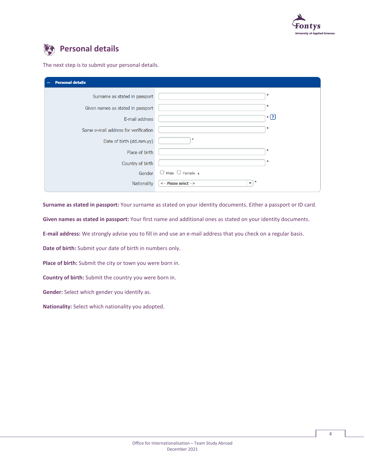

### **Personal details**

The next step is to submit your personal details.

| <b>Personal details</b>              |                                                        |  |
|--------------------------------------|--------------------------------------------------------|--|
| Surname as stated in passport        | ж                                                      |  |
| Given names as stated in passport    | ∗                                                      |  |
| E-mail address                       | $*$ $\boxed{?}$                                        |  |
| Same e-mail address for verification | ∗                                                      |  |
| Date of birth (dd.mm.yy)             | ∗                                                      |  |
| Place of birth                       | ж                                                      |  |
| Country of birth                     | ж                                                      |  |
| Gender                               | $\bigcirc$ Male $\bigcirc$ Female $*$                  |  |
| Nationality                          | ∗<br><-- Please select --><br>$\overline{\phantom{a}}$ |  |

**Surname as stated in passport:** Your surname as stated on your identity documents. Either a passport or ID card.

**Given names as stated in passport:** Your first name and additional ones as stated on your identity documents.

**E-mail address:** We strongly advise you to fill in and use an e-mail address that you check on a regular basis.

**Date of birth:** Submit your date of birth in numbers only.

**Place of birth:** Submit the city or town you were born in.

**Country of birth:** Submit the country you were born in.

**Gender:** Select which gender you identify as.

**Nationality:** Select which nationality you adopted.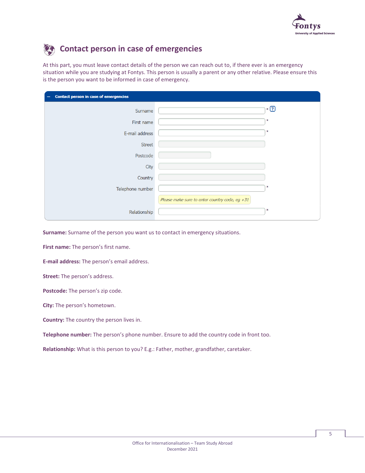

### **Contact person in case of emergencies**

At this part, you must leave contact details of the person we can reach out to, if there ever is an emergency situation while you are studying at Fontys. This person is usually a parent or any other relative. Please ensure this is the person you want to be informed in case of emergency.

| Contact person in case of emergencies<br>$\overline{\phantom{m}}$ |                                                  |  |
|-------------------------------------------------------------------|--------------------------------------------------|--|
| Surname                                                           | $*$ $\boxed{?}$                                  |  |
| First name                                                        | ∗                                                |  |
| E-mail address                                                    | ×                                                |  |
| <b>Street</b>                                                     |                                                  |  |
| Postcode                                                          |                                                  |  |
| City                                                              |                                                  |  |
| Country                                                           |                                                  |  |
| Telephone number                                                  |                                                  |  |
|                                                                   | Please make sure to enter country code, eg $+31$ |  |
| Relationship                                                      | ж                                                |  |

**Surname:** Surname of the person you want us to contact in emergency situations.

**First name:** The person's first name.

**E-mail address:** The person's email address.

**Street:** The person's address.

**Postcode:** The person's zip code.

**City:** The person's hometown.

**Country:** The country the person lives in.

**Telephone number:** The person's phone number. Ensure to add the country code in front too.

**Relationship:** What is this person to you? E.g.: Father, mother, grandfather, caretaker.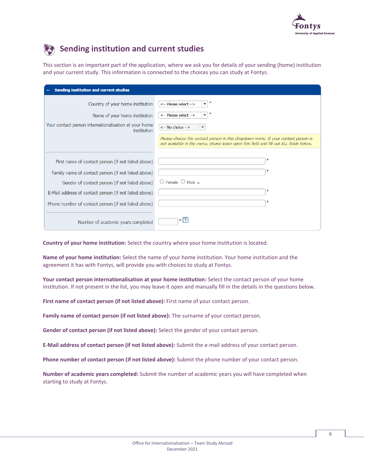



### **Sending institution and current studies**

This section is an important part of the application, where we ask you for details of your sending (home) institution and your current study. This information is connected to the choices you can study at Fontys.

| Sending institution and current studies                              |                                                                                                                                                                             |
|----------------------------------------------------------------------|-----------------------------------------------------------------------------------------------------------------------------------------------------------------------------|
| Country of your home institution                                     | <-- Please select -->                                                                                                                                                       |
| Name of your home institution                                        | <-- Please select -->                                                                                                                                                       |
| Your contact person internationalisation at your home<br>institution | <-- No choice -->                                                                                                                                                           |
|                                                                      | Please choose the contact person in this dropdown menu. If your contact person is<br>not available in the menu, please leave open this field and fill out ALL fields below. |
|                                                                      |                                                                                                                                                                             |
| First name of contact person (if not listed above)                   |                                                                                                                                                                             |
| Family name of contact person (if not listed above)                  |                                                                                                                                                                             |
| Gender of contact person (if not listed above)                       | $\bigcirc$ Female $\bigcirc$ Male $*$                                                                                                                                       |
| E-Mail address of contact person (if not listed above)               |                                                                                                                                                                             |
| Phone number of contact person (if not listed above)                 |                                                                                                                                                                             |
| Number of academic years completed                                   | $*$ [?]                                                                                                                                                                     |

**Country of your home institution:** Select the country where your home institution is located.

**Name of your home institution:** Select the name of your home institution. Your home institution and the agreement it has with Fontys, will provide you with choices to study at Fontys.

**Your contact person internationalisation at your home institution:** Select the contact person of your home institution. If not present in the list, you may leave it open and manually fill in the details in the questions below.

**First name of contact person (if not listed above):** First name of your contact person.

**Family name of contact person (if not listed above):** The surname of your contact person.

**Gender of contact person (if not listed above):** Select the gender of your contact person.

**E-Mail address of contact person (if not listed above):** Submit the e-mail address of your contact person.

**Phone number of contact person (if not listed above):** Submit the phone number of your contact person.

**Number of academic years completed:** Submit the number of academic years you will have completed when starting to study at Fontys.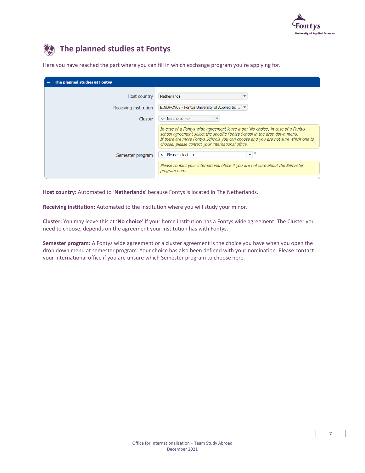

### **The planned studies at Fontys**

| The planned studies at Fontys<br>$\overline{\phantom{m}}$ |                                                                                                                                                                                                                                                                                                          |
|-----------------------------------------------------------|----------------------------------------------------------------------------------------------------------------------------------------------------------------------------------------------------------------------------------------------------------------------------------------------------------|
| Host country                                              | <b>Netherlands</b>                                                                                                                                                                                                                                                                                       |
| Receiving institution                                     | EINDHOV03 - Fontys University of Applied Sci                                                                                                                                                                                                                                                             |
| Cluster                                                   | $\leq -$ No choice $\rightarrow$                                                                                                                                                                                                                                                                         |
|                                                           | In case of a Fontys-wide agreement leave it on: 'No choice', in case of a Fontys-<br>school agreement select the specific Fontys School in the drop down menu.<br>If there are more Fontys Schools you can choose and you are not sure which one to<br>choose, please contact your international office. |
| Semester program                                          | <-- Please select -->                                                                                                                                                                                                                                                                                    |
|                                                           | Please contact your international office if you are not sure about the Semester<br>program here.                                                                                                                                                                                                         |

Here you have reached the part where you can fill in which exchange program you're applying for.

**Host country:** Automated to '**Netherlands**' because Fontys is located in The Netherlands.

**Receiving institution:** Automated to the institution where you will study your minor.

**Cluster:** You may leave this at '**No choice**' if your home institution has a Fontys wide agreement. The Cluster you need to choose, depends on the agreement your institution has with Fontys.

**Semester program:** A Fontys wide agreement or a cluster agreement is the choice you have when you open the drop down menu at semester program. Your choice has also been defined with your nomination. Please contact your international office if you are unsure which Semester program to choose here.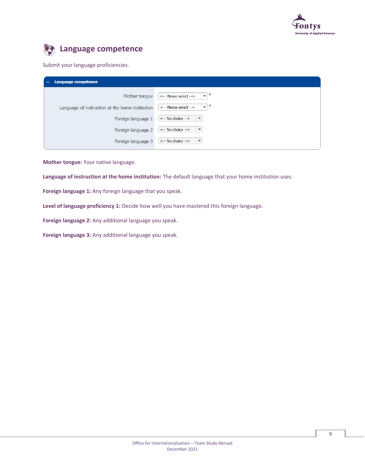

### **Language competence**

### Submit your language proficiencies.

| <b>Language competence</b>                      |                                                                  |
|-------------------------------------------------|------------------------------------------------------------------|
| Mother tonque                                   | ж<br><-- Please select --><br>$\overline{\phantom{a}}$           |
| Language of instruction at the home institution | ж<br><-- Please select --><br>$\overline{\phantom{a}}$           |
| Foreign language 1                              | $\leftarrow$ No choice $\rightarrow$<br>$\overline{\phantom{a}}$ |
| Foreign language 2                              | $\leftarrow$ No choice $\rightarrow$<br>$\overline{\phantom{a}}$ |
| Foreign language 3                              | <-- No choice --><br>$\overline{\phantom{a}}$                    |

**Mother tongue:** Your native language.

**Language of instruction at the home institution:** The default language that your home institution uses.

**Foreign language 1:** Any foreign language that you speak.

**Level of language proficiency 1:** Decide how well you have mastered this foreign language.

**Foreign language 2:** Any additional language you speak.

**Foreign language 3:** Any additional language you speak.